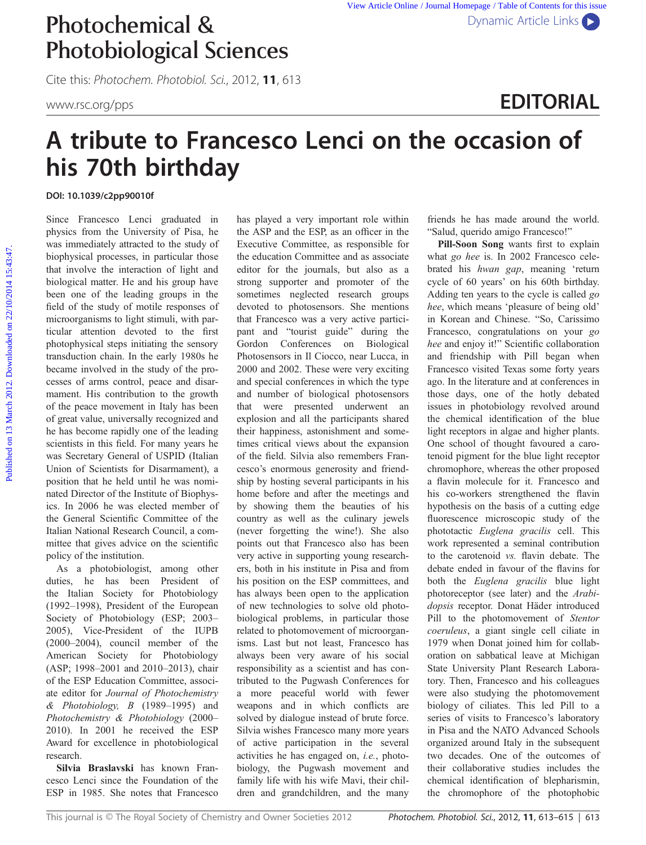## **Photobiological Sciences**

C<br>Cita this: Photocham Photobiol Sci. 2012 11 6 Cite this: *Photochem. Photobiol. Sci.,* 2012, **11**, 613

## <www.rsc.org/pps> **EDITORIAL**

## A tribute to Francesco Lenci on the occasion of his 70th birthday

DOI: 10.1039/c2pp90010f

Since Francesco Lenci graduated in physics from the University of Pisa, he was immediately attracted to the study of biophysical processes, in particular those that involve the interaction of light and biological matter. He and his group have been one of the leading groups in the field of the study of motile responses of microorganisms to light stimuli, with particular attention devoted to the first photophysical steps initiating the sensory transduction chain. In the early 1980s he became involved in the study of the processes of arms control, peace and disarmament. His contribution to the growth of the peace movement in Italy has been of great value, universally recognized and he has become rapidly one of the leading scientists in this field. For many years he was Secretary General of USPID (Italian Union of Scientists for Disarmament), a position that he held until he was nominated Director of the Institute of Biophysics. In 2006 he was elected member of the General Scientific Committee of the Italian National Research Council, a committee that gives advice on the scientific policy of the institution.

As a photobiologist, among other duties, he has been President of the Italian Society for Photobiology (1992–1998), President of the European Society of Photobiology (ESP; 2003– 2005), Vice-President of the IUPB (2000–2004), council member of the American Society for Photobiology (ASP; 1998–2001 and 2010–2013), chair of the ESP Education Committee, associate editor for Journal of Photochemistry & Photobiology, B (1989–1995) and Photochemistry & Photobiology (2000– 2010). In 2001 he received the ESP Award for excellence in photobiological research.

Silvia Braslavski has known Francesco Lenci since the Foundation of the ESP in 1985. She notes that Francesco

has played a very important role within the ASP and the ESP, as an officer in the Executive Committee, as responsible for the education Committee and as associate editor for the journals, but also as a strong supporter and promoter of the sometimes neglected research groups devoted to photosensors. She mentions that Francesco was a very active participant and "tourist guide" during the Gordon Conferences on Biological Photosensors in Il Ciocco, near Lucca, in 2000 and 2002. These were very exciting and special conferences in which the type and number of biological photosensors that were presented underwent an explosion and all the participants shared their happiness, astonishment and sometimes critical views about the expansion of the field. Silvia also remembers Francesco's enormous generosity and friendship by hosting several participants in his home before and after the meetings and by showing them the beauties of his country as well as the culinary jewels (never forgetting the wine!). She also points out that Francesco also has been very active in supporting young researchers, both in his institute in Pisa and from his position on the ESP committees, and has always been open to the application of new technologies to solve old photobiological problems, in particular those related to photomovement of microorganisms. Last but not least, Francesco has always been very aware of his social responsibility as a scientist and has contributed to the Pugwash Conferences for a more peaceful world with fewer weapons and in which conflicts are solved by dialogue instead of brute force. Silvia wishes Francesco many more years of active participation in the several activities he has engaged on, i.e., photobiology, the Pugwash movement and family life with his wife Mavi, their children and grandchildren, and the many **Photochemical &**<br> **Photobiological Sciences**<br> **Circle in the content of the content of the content of the content of the content of the content of the content of the content of the content of the content of the content o** 

friends he has made around the world. "Salud, querido amigo Francesco!"

Pill-Soon Song wants first to explain what go hee is. In 2002 Francesco celebrated his hwan gap, meaning 'return cycle of 60 years' on his 60th birthday. Adding ten years to the cycle is called go hee, which means 'pleasure of being old' in Korean and Chinese. "So, Carissimo Francesco, congratulations on your go hee and enjoy it!" Scientific collaboration and friendship with Pill began when Francesco visited Texas some forty years ago. In the literature and at conferences in those days, one of the hotly debated issues in photobiology revolved around the chemical identification of the blue light receptors in algae and higher plants. One school of thought favoured a carotenoid pigment for the blue light receptor chromophore, whereas the other proposed a flavin molecule for it. Francesco and his co-workers strengthened the flavin hypothesis on the basis of a cutting edge fluorescence microscopic study of the phototactic Euglena gracilis cell. This work represented a seminal contribution to the carotenoid vs. flavin debate. The debate ended in favour of the flavins for both the Euglena gracilis blue light photoreceptor (see later) and the Arabidopsis receptor. Donat Häder introduced Pill to the photomovement of Stentor coeruleus, a giant single cell ciliate in 1979 when Donat joined him for collaboration on sabbatical leave at Michigan State University Plant Research Laboratory. Then, Francesco and his colleagues were also studying the photomovement biology of ciliates. This led Pill to a series of visits to Francesco's laboratory in Pisa and the NATO Advanced Schools organized around Italy in the subsequent two decades. One of the outcomes of their collaborative studies includes the chemical identification of blepharismin, the chromophore of the photophobic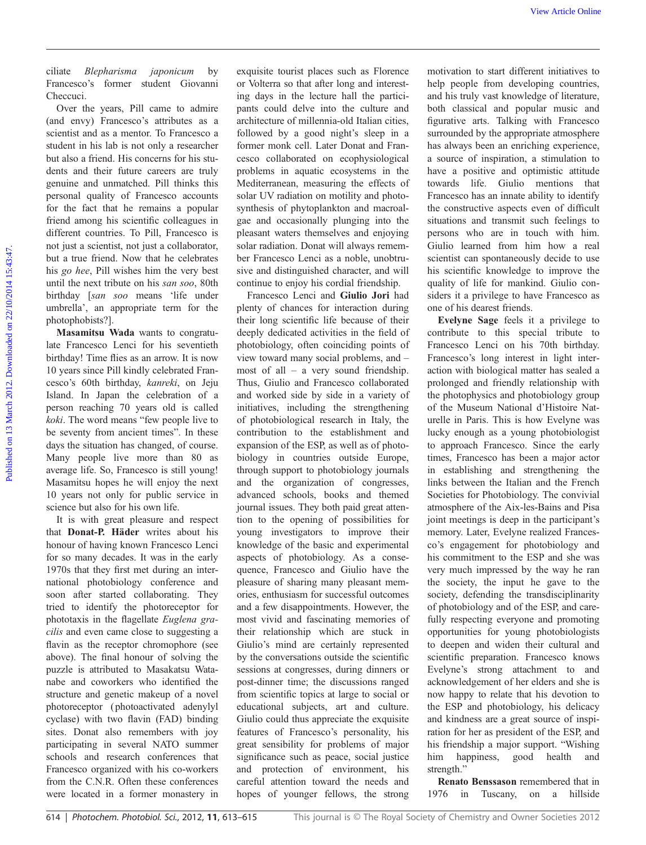ciliate Blepharisma japonicum by Francesco's former student Giovanni Checcuci.

Over the years, Pill came to admire (and envy) Francesco's attributes as a scientist and as a mentor. To Francesco a student in his lab is not only a researcher but also a friend. His concerns for his students and their future careers are truly genuine and unmatched. Pill thinks this personal quality of Francesco accounts for the fact that he remains a popular friend among his scientific colleagues in different countries. To Pill, Francesco is not just a scientist, not just a collaborator, but a true friend. Now that he celebrates his go hee, Pill wishes him the very best until the next tribute on his san soo, 80th birthday [san soo means 'life under umbrella', an appropriate term for the photophobists?].

Masamitsu Wada wants to congratulate Francesco Lenci for his seventieth birthday! Time flies as an arrow. It is now 10 years since Pill kindly celebrated Francesco's 60th birthday, kanreki, on Jeju Island. In Japan the celebration of a person reaching 70 years old is called koki. The word means "few people live to be seventy from ancient times". In these days the situation has changed, of course. Many people live more than 80 as average life. So, Francesco is still young! Masamitsu hopes he will enjoy the next 10 years not only for public service in science but also for his own life.

It is with great pleasure and respect that Donat-P. Häder writes about his honour of having known Francesco Lenci for so many decades. It was in the early 1970s that they first met during an international photobiology conference and soon after started collaborating. They tried to identify the photoreceptor for phototaxis in the flagellate Euglena gracilis and even came close to suggesting a flavin as the receptor chromophore (see above). The final honour of solving the puzzle is attributed to Masakatsu Watanabe and coworkers who identified the structure and genetic makeup of a novel photoreceptor ( photoactivated adenylyl cyclase) with two flavin (FAD) binding sites. Donat also remembers with joy participating in several NATO summer schools and research conferences that Francesco organized with his co-workers from the C.N.R. Often these conferences were located in a former monastery in

exquisite tourist places such as Florence or Volterra so that after long and interesting days in the lecture hall the participants could delve into the culture and architecture of millennia-old Italian cities, followed by a good night's sleep in a former monk cell. Later Donat and Francesco collaborated on ecophysiological problems in aquatic ecosystems in the Mediterranean, measuring the effects of solar UV radiation on motility and photosynthesis of phytoplankton and macroalgae and occasionally plunging into the pleasant waters themselves and enjoying solar radiation. Donat will always remember Francesco Lenci as a noble, unobtrusive and distinguished character, and will continue to enjoy his cordial friendship.

Francesco Lenci and Giulio Jori had plenty of chances for interaction during their long scientific life because of their deeply dedicated activities in the field of photobiology, often coinciding points of view toward many social problems, and – most of all – a very sound friendship. Thus, Giulio and Francesco collaborated and worked side by side in a variety of initiatives, including the strengthening of photobiological research in Italy, the contribution to the establishment and expansion of the ESP, as well as of photobiology in countries outside Europe, through support to photobiology journals and the organization of congresses, advanced schools, books and themed journal issues. They both paid great attention to the opening of possibilities for young investigators to improve their knowledge of the basic and experimental aspects of photobiology. As a consequence, Francesco and Giulio have the pleasure of sharing many pleasant memories, enthusiasm for successful outcomes and a few disappointments. However, the most vivid and fascinating memories of their relationship which are stuck in Giulio's mind are certainly represented by the conversations outside the scientific sessions at congresses, during dinners or post-dinner time; the discussions ranged from scientific topics at large to social or educational subjects, art and culture. Giulio could thus appreciate the exquisite features of Francesco's personality, his great sensibility for problems of major significance such as peace, social justice and protection of environment, his careful attention toward the needs and hopes of younger fellows, the strong

motivation to start different initiatives to help people from developing countries, and his truly vast knowledge of literature, both classical and popular music and figurative arts. Talking with Francesco surrounded by the appropriate atmosphere has always been an enriching experience, a source of inspiration, a stimulation to have a positive and optimistic attitude towards life. Giulio mentions that Francesco has an innate ability to identify the constructive aspects even of difficult situations and transmit such feelings to persons who are in touch with him. Giulio learned from him how a real scientist can spontaneously decide to use his scientific knowledge to improve the quality of life for mankind. Giulio considers it a privilege to have Francesco as one of his dearest friends. Clutae *Riepharions jagonicuos* by exquisite baries phase such as Fluence resticution is start different initiatives to the content of the energy in the start of the baries of the March 2012. The content of the energy in

Evelyne Sage feels it a privilege to contribute to this special tribute to Francesco Lenci on his 70th birthday. Francesco's long interest in light interaction with biological matter has sealed a prolonged and friendly relationship with the photophysics and photobiology group of the Museum National d'Histoire Naturelle in Paris. This is how Evelyne was lucky enough as a young photobiologist to approach Francesco. Since the early times, Francesco has been a major actor in establishing and strengthening the links between the Italian and the French Societies for Photobiology. The convivial atmosphere of the Aix-les-Bains and Pisa joint meetings is deep in the participant's memory. Later, Evelyne realized Francesco's engagement for photobiology and his commitment to the ESP and she was very much impressed by the way he ran the society, the input he gave to the society, defending the transdisciplinarity of photobiology and of the ESP, and carefully respecting everyone and promoting opportunities for young photobiologists to deepen and widen their cultural and scientific preparation. Francesco knows Evelyne's strong attachment to and acknowledgement of her elders and she is now happy to relate that his devotion to the ESP and photobiology, his delicacy and kindness are a great source of inspiration for her as president of the ESP, and his friendship a major support. "Wishing him happiness, good health and strength."

Renato Benssason remembered that in 1976 in Tuscany, on a hillside